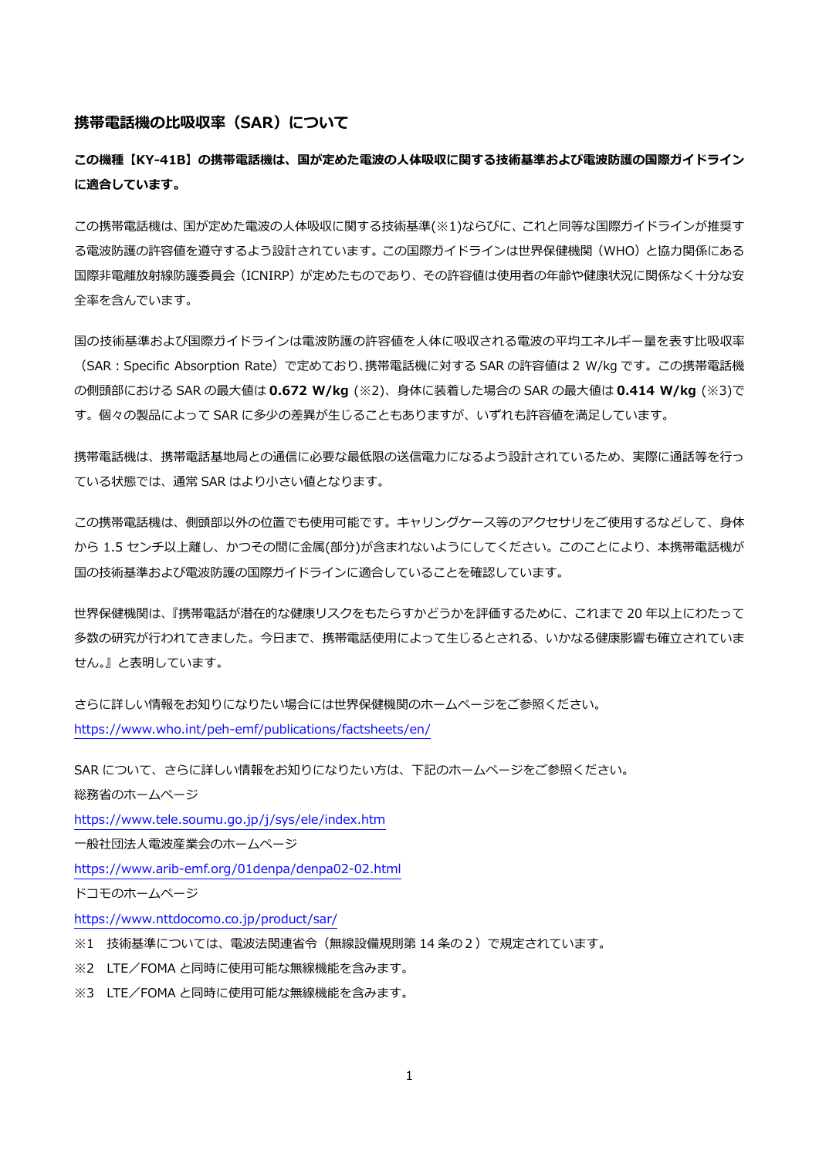## **携帯電話機の比吸収率(SAR)について**

**この機種【KY-41B】の携帯電話機は、国が定めた電波の人体吸収に関する技術基準および電波防護の国際ガイドライン に適合しています。**

この携帯電話機は、国が定めた電波の人体吸収に関する技術基準(※1)ならびに、これと同等な国際ガイドラインが推奨す る電波防護の許容値を遵守するよう設計されています。この国際ガイドラインは世界保健機関(WHO)と協力関係にある 国際非電離放射線防護委員会(ICNIRP)が定めたものであり、その許容値は使用者の年齢や健康状況に関係なく十分な安 全率を含んでいます。

国の技術基準および国際ガイドラインは電波防護の許容値を人体に吸収される電波の平均エネルギー量を表す比吸収率 (SAR:Specific Absorption Rate)で定めており、携帯電話機に対する SAR の許容値は 2 W/kg です。この携帯電話機 の側頭部における SAR の最大値は **0.672 W/kg** (※2)、身体に装着した場合の SAR の最大値は **0.414 W/kg** (※3)で す。個々の製品によって SAR に多少の差異が生じることもありますが、いずれも許容値を満足しています。

携帯電話機は、携帯電話基地局との通信に必要な最低限の送信電力になるよう設計されているため、実際に通話等を行っ ている状態では、通常 SAR はより小さい値となります。

この携帯電話機は、側頭部以外の位置でも使用可能です。キャリングケース等のアクセサリをご使用するなどして、身体 から 1.5 センチ以上離し、かつその間に金属(部分)が含まれないようにしてください。このことにより、本携帯電話機が 国の技術基準および電波防護の国際ガイドラインに適合していることを確認しています。

世界保健機関は、『携帯電話が潜在的な健康リスクをもたらすかどうかを評価するために、これまで 20 年以上にわたって 多数の研究が行われてきました。今日まで、携帯電話使用によって生じるとされる、いかなる健康影響も確立されていま せん。』と表明しています。

さらに詳しい情報をお知りになりたい場合には世界保健機関のホームページをご参照ください。 <https://www.who.int/peh-emf/publications/factsheets/en/>

SAR について、さらに詳しい情報をお知りになりたい方は、下記のホームページをご参照ください。 総務省のホームページ

<https://www.tele.soumu.go.jp/j/sys/ele/index.htm>

一般社団法人電波産業会のホームページ

<https://www.arib-emf.org/01denpa/denpa02-02.html>

ドコモのホームページ

<https://www.nttdocomo.co.jp/product/sar/>

※1 技術基準については、電波法関連省令(無線設備規則第 14 条の2)で規定されています。

※2 LTE/FOMA と同時に使用可能な無線機能を含みます。

※3 LTE/FOMA と同時に使用可能な無線機能を含みます。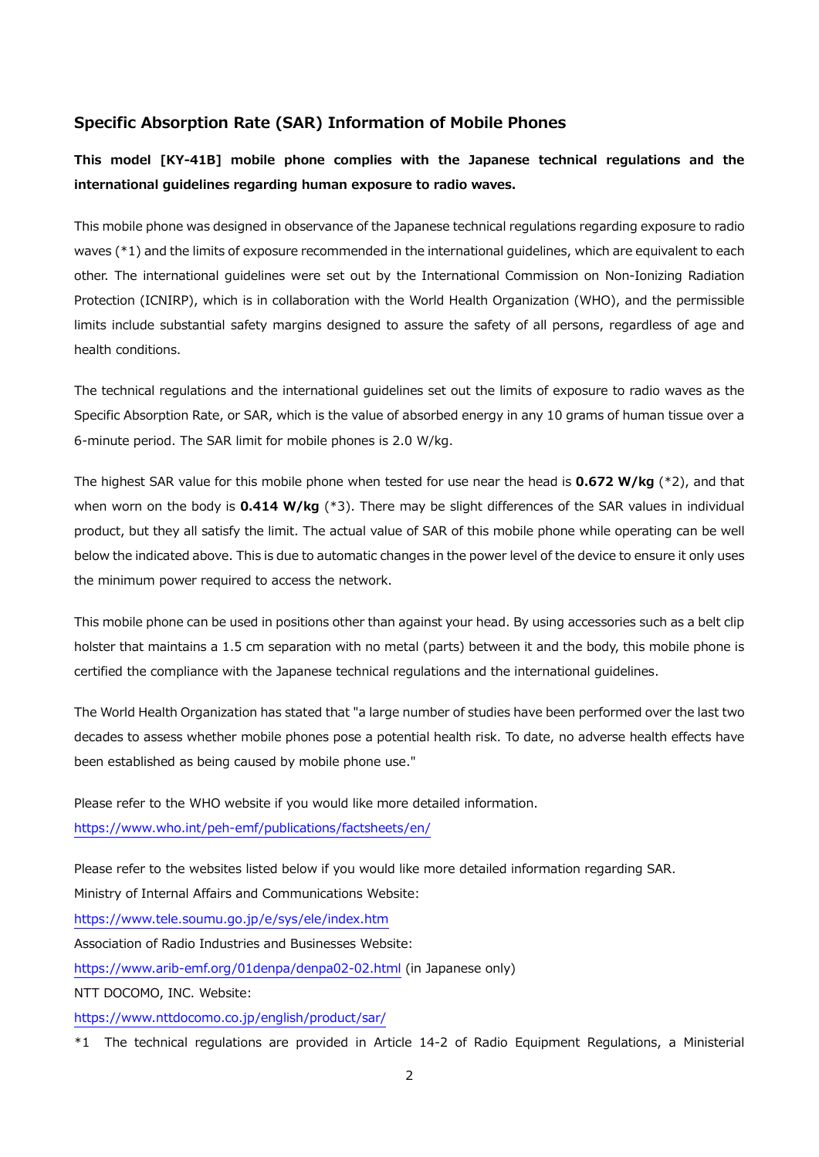## **Specific Absorption Rate (SAR) Information of Mobile Phones**

**This model [KY-41B] mobile phone complies with the Japanese technical regulations and the international guidelines regarding human exposure to radio waves.**

This mobile phone was designed in observance of the Japanese technical regulations regarding exposure to radio waves (\*1) and the limits of exposure recommended in the international guidelines, which are equivalent to each other. The international guidelines were set out by the International Commission on Non-Ionizing Radiation Protection (ICNIRP), which is in collaboration with the World Health Organization (WHO), and the permissible limits include substantial safety margins designed to assure the safety of all persons, regardless of age and health conditions.

The technical regulations and the international guidelines set out the limits of exposure to radio waves as the Specific Absorption Rate, or SAR, which is the value of absorbed energy in any 10 grams of human tissue over a 6-minute period. The SAR limit for mobile phones is 2.0 W/kg.

The highest SAR value for this mobile phone when tested for use near the head is **0.672 W/kg** (\*2), and that when worn on the body is **0.414 W/kg** (\*3). There may be slight differences of the SAR values in individual product, but they all satisfy the limit. The actual value of SAR of this mobile phone while operating can be well below the indicated above. This is due to automatic changes in the power level of the device to ensure it only uses the minimum power required to access the network.

This mobile phone can be used in positions other than against your head. By using accessories such as a belt clip holster that maintains a 1.5 cm separation with no metal (parts) between it and the body, this mobile phone is certified the compliance with the Japanese technical regulations and the international guidelines.

The World Health Organization has stated that "a large number of studies have been performed over the last two decades to assess whether mobile phones pose a potential health risk. To date, no adverse health effects have been established as being caused by mobile phone use."

Please refer to the WHO website if you would like more detailed information. <https://www.who.int/peh-emf/publications/factsheets/en/>

Please refer to the websites listed below if you would like more detailed information regarding SAR. Ministry of Internal Affairs and Communications Website:

<https://www.tele.soumu.go.jp/e/sys/ele/index.htm>

Association of Radio Industries and Businesses Website:

<https://www.arib-emf.org/01denpa/denpa02-02.html> (in Japanese only)

NTT DOCOMO, INC. Website:

<https://www.nttdocomo.co.jp/english/product/sar/>

\*1 The technical regulations are provided in Article 14-2 of Radio Equipment Regulations, a Ministerial